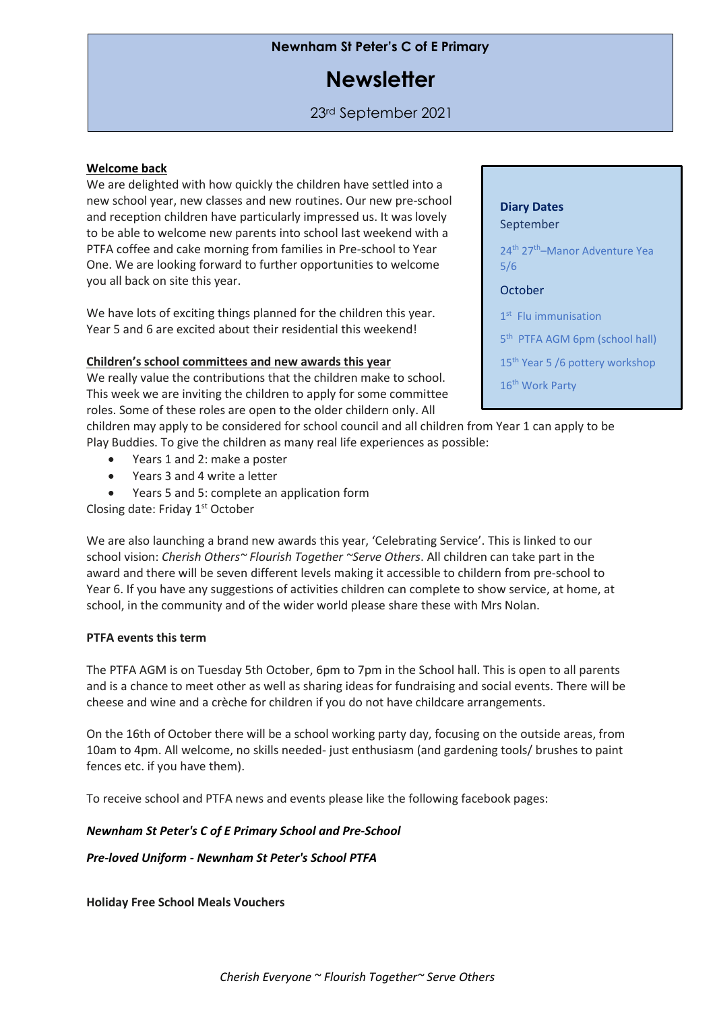## **Newnham St Peter's C of E Primary**

# **Newsletter**

23rd September 2021

## **Welcome back**

We are delighted with how quickly the children have settled into a new school year, new classes and new routines. Our new pre-school and reception children have particularly impressed us. It was lovely to be able to welcome new parents into school last weekend with a PTFA coffee and cake morning from families in Pre-school to Year One. We are looking forward to further opportunities to welcome you all back on site this year.

We have lots of exciting things planned for the children this year. Year 5 and 6 are excited about their residential this weekend!

## **Children's school committees and new awards this year**

We really value the contributions that the children make to school. This week we are inviting the children to apply for some committee roles. Some of these roles are open to the older childern only. All

children may apply to be considered for school council and all children from Year 1 can apply to be Play Buddies. To give the children as many real life experiences as possible:

- Years 1 and 2: make a poster
- Years 3 and 4 write a letter
- Years 5 and 5: complete an application form

Closing date: Friday 1<sup>st</sup> October

We are also launching a brand new awards this year, 'Celebrating Service'. This is linked to our school vision: *Cherish Others~ Flourish Together ~Serve Others*. All children can take part in the award and there will be seven different levels making it accessible to childern from pre-school to Year 6. If you have any suggestions of activities children can complete to show service, at home, at school, in the community and of the wider world please share these with Mrs Nolan.

## **PTFA events this term**

The PTFA AGM is on Tuesday 5th October, 6pm to 7pm in the School hall. This is open to all parents and is a chance to meet other as well as sharing ideas for fundraising and social events. There will be cheese and wine and a crèche for children if you do not have childcare arrangements.

On the 16th of October there will be a school working party day, focusing on the outside areas, from 10am to 4pm. All welcome, no skills needed- just enthusiasm (and gardening tools/ brushes to paint fences etc. if you have them).

To receive school and PTFA news and events please like the following facebook pages:

## *Newnham St Peter's C of E Primary School and [Pre-School](https://www.facebook.com/Newnham-St-Peters-C-of-E-Primary-School-and-Pre-School-2301978130073152/)*

*Pre-loved Uniform - [Newnham](https://www.facebook.com/PrelovedUniformNewnham/) St Peter's School PTFA*

**Holiday Free School Meals Vouchers**

## **Diary Dates** September

24th 27th–Manor Adventure Yea 5/6

## **October**

- 1<sup>st</sup> Flu immunisation
- 5<sup>th</sup> PTFA AGM 6pm (school hall)
- 15<sup>th</sup> Year 5 /6 pottery workshop

16<sup>th</sup> Work Party 22nd End of Term